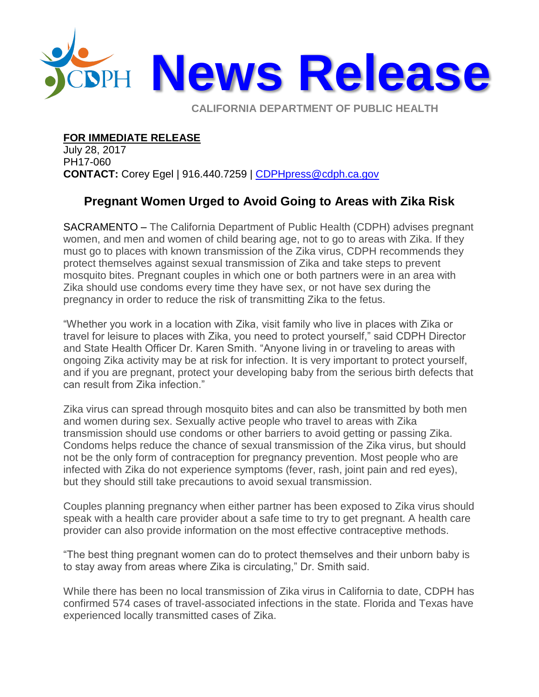

**CALIFORNIA DEPARTMENT OF PUBLIC HEALTH** 

## **FOR IMMEDIATE RELEASE**

July 28, 2017 PH17-060 **CONTACT:** Corey Egel | 916.440.7259 | [CDPHpress@cdph.ca.gov](mailto:CDPHpress@cdph.ca.gov)

## **Pregnant Women Urged to Avoid Going to Areas with Zika Risk**

SACRAMENTO – The California Department of Public Health (CDPH) advises pregnant women, and men and women of child bearing age, not to go to areas with Zika. If they must go to places with known transmission of the Zika virus, CDPH recommends they protect themselves against sexual transmission of Zika and take steps to prevent mosquito bites. Pregnant couples in which one or both partners were in an area with Zika should use condoms every time they have sex, or not have sex during the pregnancy in order to reduce the risk of transmitting Zika to the fetus.

"Whether you work in a location with Zika, visit family who live in places with Zika or travel for leisure to places with Zika, you need to protect yourself," said CDPH Director and State Health Officer Dr. Karen Smith. "Anyone living in or traveling to areas with ongoing Zika activity may be at risk for infection. It is very important to protect yourself, and if you are pregnant, protect your developing baby from the serious birth defects that can result from Zika infection."

Zika virus can spread through mosquito bites and can also be transmitted by both men and women during sex. Sexually active people who travel to areas with Zika transmission should use condoms or other barriers to avoid getting or passing Zika. Condoms helps reduce the chance of sexual transmission of the Zika virus, but should not be the only form of contraception for pregnancy prevention. Most people who are infected with Zika do not experience symptoms (fever, rash, joint pain and red eyes), but they should still take precautions to avoid sexual transmission.

Couples planning pregnancy when either partner has been exposed to Zika virus should speak with a health care provider about a safe time to try to get pregnant. A health care provider can also provide information on the most effective contraceptive methods.

"The best thing pregnant women can do to protect themselves and their unborn baby is to stay away from areas where Zika is circulating," Dr. Smith said.

While there has been no local transmission of Zika virus in California to date, CDPH has confirmed 574 cases of travel-associated infections in the state. Florida and Texas have experienced locally transmitted cases of Zika.